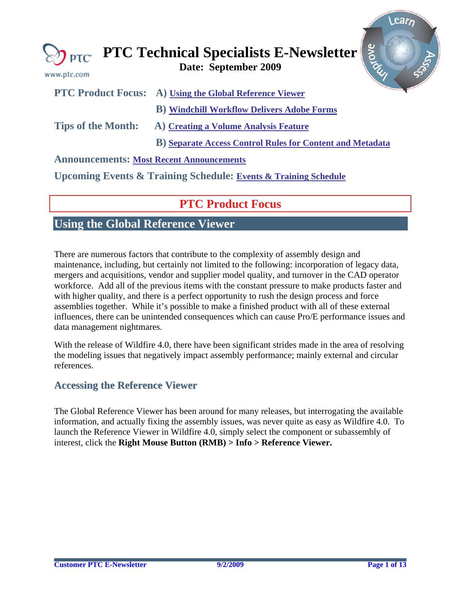<span id="page-0-0"></span>

| www.ptc.com               | Arove<br><b>ED</b> PTC Technical Specialists E-Newsletter<br>Date: September 2009 |
|---------------------------|-----------------------------------------------------------------------------------|
| <b>PTC Product Focus:</b> | A) Using the Global Reference Viewer                                              |
|                           | <b>B</b> ) Windchill Workflow Delivers Adobe Forms                                |
| <b>Tips of the Month:</b> | A) Creating a Volume Analysis Feature                                             |
|                           | <b>B)</b> Separate Access Control Rules for Content and Metadata                  |
|                           | <b>Announcements: Most Recent Announcements</b>                                   |
|                           | <b>Upcoming Events &amp; Training Schedule: Events &amp; Training Schedule</b>    |

## **PTC Product Focus**

# **Using the Global Reference Viewer**

There are numerous factors that contribute to the complexity of assembly design and maintenance, including, but certainly not limited to the following: incorporation of legacy data, mergers and acquisitions, vendor and supplier model quality, and turnover in the CAD operator workforce. Add all of the previous items with the constant pressure to make products faster and with higher quality, and there is a perfect opportunity to rush the design process and force assemblies together. While it's possible to make a finished product with all of these external influences, there can be unintended consequences which can cause Pro/E performance issues and data management nightmares.

With the release of Wildfire 4.0, there have been significant strides made in the area of resolving the modeling issues that negatively impact assembly performance; mainly external and circular references.

### **Accessing the Reference Viewer**

The Global Reference Viewer has been around for many releases, but interrogating the available information, and actually fixing the assembly issues, was never quite as easy as Wildfire 4.0. To launch the Reference Viewer in Wildfire 4.0, simply select the component or subassembly of interest, click the **Right Mouse Button (RMB) > Info > Reference Viewer.**

Lear<sub>r</sub>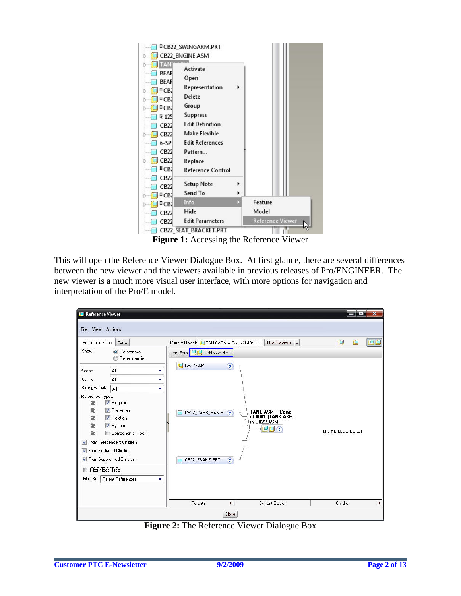

This will open the Reference Viewer Dialogue Box. At first glance, there are several differences between the new viewer and the viewers available in previous releases of Pro/ENGINEER. The new viewer is a much more visual user interface, with more options for navigation and interpretation of the Pro/E model.

| Reference Viewer<br><b>File View Actions</b><br><b>Reference Filters</b><br>Paths<br>Show:<br><b>O</b> References<br>Dependencies<br>◉                                                                                                                                                                                                                              | Current Object: [1] TANK.ASM + Comp id 4041 [<br>Use Previous $\blacktriangleright$<br>New Path: UU TANK.ASM +                                                               | أتكرهم<br>$\mathbf{x}$<br>90<br>侮<br>g |
|---------------------------------------------------------------------------------------------------------------------------------------------------------------------------------------------------------------------------------------------------------------------------------------------------------------------------------------------------------------------|------------------------------------------------------------------------------------------------------------------------------------------------------------------------------|----------------------------------------|
| All<br>Scope<br>۰<br>All<br>Status<br>۰<br>Strong/Weak<br>All<br>۰<br>Reference Types:<br><b>V</b> Regular<br>æ<br><b>V</b> Placement<br>æ<br>æ<br><b>V</b> Relation<br>æ<br>V System<br>ż<br>Components in path<br>From Independent Children<br>TV From Excluded Children<br>From Suppressed Children<br>Filter Model Tree<br>Parent References<br>Filter By:<br>۰ | CB22.ASM<br>O<br>$\hat{\mathbf{x}}$<br>TANK.ASM + Comp<br>CB22_CARB_MANIF<br>id 4041 [TANK.ASM]<br>in CB22.ASM<br>$+$ <b>U</b> $\cup$ $\times$<br>CB22_FRAME.PRT<br>$\infty$ | No Children found                      |
|                                                                                                                                                                                                                                                                                                                                                                     | Parents<br>Current Object<br>$\boldsymbol{\mathsf{x}}$                                                                                                                       | Children<br>$\times$                   |
|                                                                                                                                                                                                                                                                                                                                                                     | Close                                                                                                                                                                        |                                        |

**Figure 2:** The Reference Viewer Dialogue Box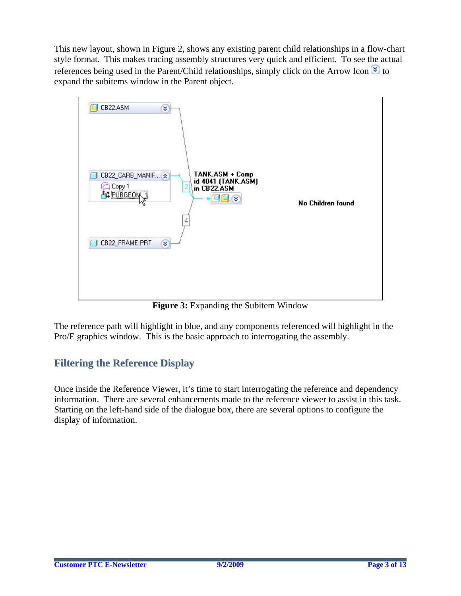This new layout, shown in Figure 2, shows any existing parent child relationships in a flow-chart style format. This makes tracing assembly structures very quick and efficient. To see the actual references being used in the Parent/Child relationships, simply click on the Arrow Icon  $\frac{1}{3}$  to expand the subitems window in the Parent object.



**Figure 3:** Expanding the Subitem Window

The reference path will highlight in blue, and any components referenced will highlight in the Pro/E graphics window. This is the basic approach to interrogating the assembly.

## **Filtering the Reference Display**

Once inside the Reference Viewer, it's time to start interrogating the reference and dependency information. There are several enhancements made to the reference viewer to assist in this task. Starting on the left-hand side of the dialogue box, there are several options to configure the display of information.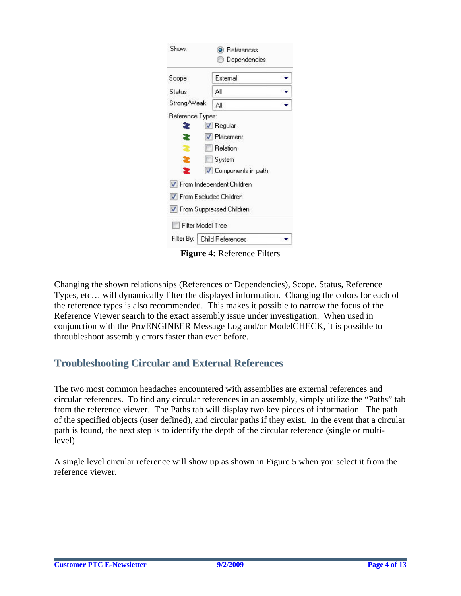| Show:                           | <b>O</b> References       |  |
|---------------------------------|---------------------------|--|
|                                 | Dependencies              |  |
| Scope                           | External                  |  |
| Status                          | Αll                       |  |
| Strong/Weak                     | ΔI                        |  |
| Reference Types:                |                           |  |
| æ                               | $\vee$ Regular            |  |
| æ                               | $\sqrt{}$ Placement       |  |
|                                 | Relation                  |  |
| æ                               | System                    |  |
| æ                               | V Components in path      |  |
|                                 | From Independent Children |  |
| <b>V</b> From Excluded Children |                           |  |
| ✔ From Suppressed Children      |                           |  |
| Filter Model Tree               |                           |  |
| Filter By:                      | Child References          |  |

**Figure 4:** Reference Filters

Changing the shown relationships (References or Dependencies), Scope, Status, Reference Types, etc… will dynamically filter the displayed information. Changing the colors for each of the reference types is also recommended. This makes it possible to narrow the focus of the Reference Viewer search to the exact assembly issue under investigation. When used in conjunction with the Pro/ENGINEER Message Log and/or ModelCHECK, it is possible to throubleshoot assembly errors faster than ever before.

## **Troubleshooting Circular and External References**

The two most common headaches encountered with assemblies are external references and circular references. To find any circular references in an assembly, simply utilize the "Paths" tab from the reference viewer. The Paths tab will display two key pieces of information. The path of the specified objects (user defined), and circular paths if they exist. In the event that a circular path is found, the next step is to identify the depth of the circular reference (single or multilevel).

A single level circular reference will show up as shown in Figure 5 when you select it from the reference viewer.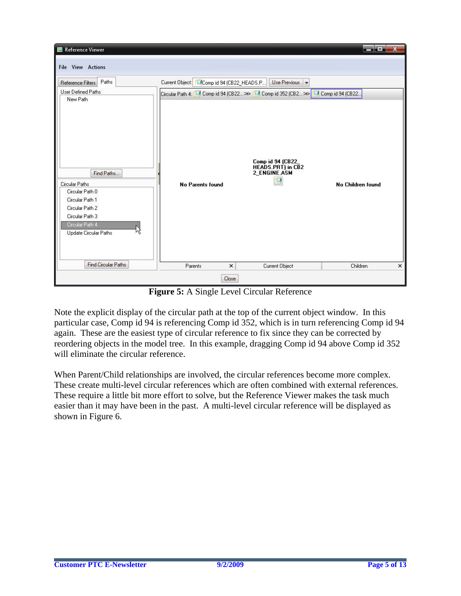| <b>I</b> Reference Viewer                                                                                                                                             |                                                                                 |                                                                    | a bayan da <mark>a</mark> | $\overline{\mathbf{x}}$ |  |
|-----------------------------------------------------------------------------------------------------------------------------------------------------------------------|---------------------------------------------------------------------------------|--------------------------------------------------------------------|---------------------------|-------------------------|--|
| <b>File View Actions</b>                                                                                                                                              |                                                                                 |                                                                    |                           |                         |  |
| Paths<br>Reference Filters                                                                                                                                            | Current Object: CComp id 94 (CB22_HEADS.P                                       | Use Previous $\vert \bullet \vert$                                 |                           |                         |  |
| User Defined Paths                                                                                                                                                    | Circular Path 4: 1 Comp id 94 (CB22 >> 1 Comp id 352 (CB2 >> 1 Comp id 94 (CB22 |                                                                    |                           |                         |  |
| New Path<br>Find Paths<br>Circular Paths<br>Circular Path 0<br>Circular Path 1<br>Circular Path 2<br>Circular Path 3<br>Circular Path 4<br>M<br>Update Circular Paths | No Parents found                                                                | Comp id 94 (CB22_<br><b>HEADS.PRT)</b> in CB2<br>2 ENGINE.ASM<br>σ | No Children found         |                         |  |
| <b>Find Circular Paths</b>                                                                                                                                            | Parents<br>$\pmb{\times}$                                                       | Current Object                                                     | Children                  | $\pmb{\times}$          |  |
| Close                                                                                                                                                                 |                                                                                 |                                                                    |                           |                         |  |

**Figure 5:** A Single Level Circular Reference

Note the explicit display of the circular path at the top of the current object window. In this particular case, Comp id 94 is referencing Comp id 352, which is in turn referencing Comp id 94 again. These are the easiest type of circular reference to fix since they can be corrected by reordering objects in the model tree. In this example, dragging Comp id 94 above Comp id 352 will eliminate the circular reference.

When Parent/Child relationships are involved, the circular references become more complex. These create multi-level circular references which are often combined with external references. These require a little bit more effort to solve, but the Reference Viewer makes the task much easier than it may have been in the past. A multi-level circular reference will be displayed as shown in Figure 6.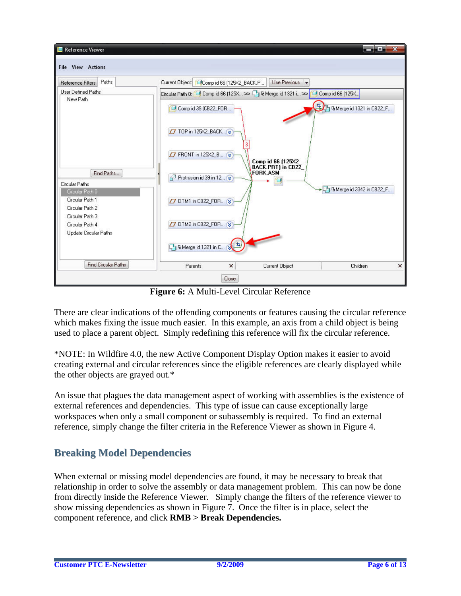

**Figure 6:** A Multi-Level Circular Reference

There are clear indications of the offending components or features causing the circular reference which makes fixing the issue much easier. In this example, an axis from a child object is being used to place a parent object. Simply redefining this reference will fix the circular reference.

\*NOTE: In Wildfire 4.0, the new Active Component Display Option makes it easier to avoid creating external and circular references since the eligible references are clearly displayed while the other objects are grayed out.\*

An issue that plagues the data management aspect of working with assemblies is the existence of external references and dependencies. This type of issue can cause exceptionally large workspaces when only a small component or subassembly is required. To find an external reference, simply change the filter criteria in the Reference Viewer as shown in Figure 4.

## **Breaking Model Dependencies**

When external or missing model dependencies are found, it may be necessary to break that relationship in order to solve the assembly or data management problem. This can now be done from directly inside the Reference Viewer. Simply change the filters of the reference viewer to show missing dependencies as shown in Figure 7. Once the filter is in place, select the component reference, and click **RMB > Break Dependencies.**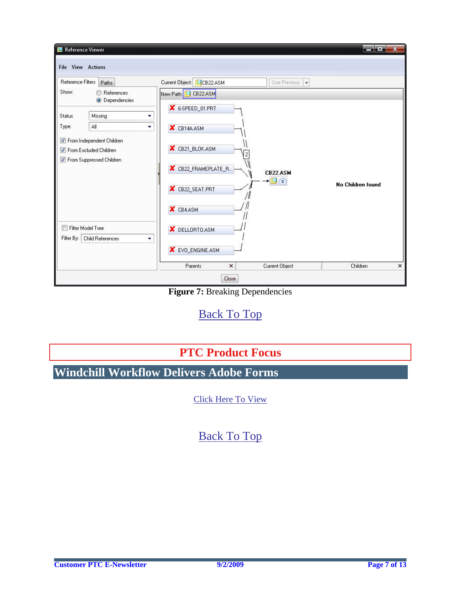<span id="page-6-0"></span>

**Figure 7: Breaking Dependencies** 

# [Back To Top](#page-0-0)

# **PTC Product Focus**

**Windchill Workflow Delivers Adobe Forms** 

[Click Here To View](http://members.shaw.ca/jpeng/newsletter/PTC_Technical_Specialists_E-Newsletter_2009_09_enterprise.pdf)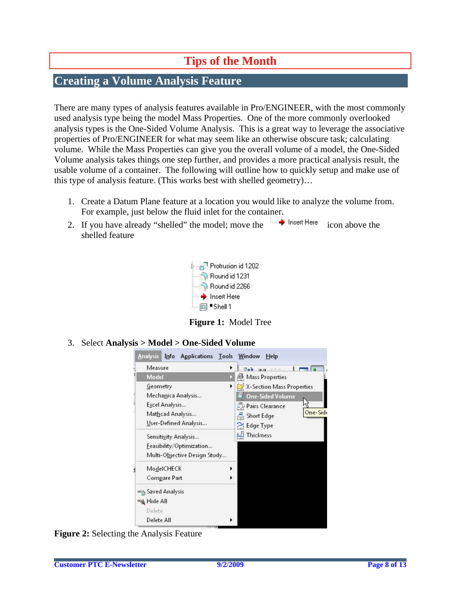# **Tips of the Month**

## <span id="page-7-0"></span>**Creating a Volume Analysis Feature**

There are many types of analysis features available in Pro/ENGINEER, with the most commonly used analysis type being the model Mass Properties. One of the more commonly overlooked analysis types is the One-Sided Volume Analysis. This is a great way to leverage the associative properties of Pro/ENGINEER for what may seem like an otherwise obscure task; calculating volume. While the Mass Properties can give you the overall volume of a model, the One-Sided Volume analysis takes things one step further, and provides a more practical analysis result, the usable volume of a container. The following will outline how to quickly setup and make use of this type of analysis feature. (This works best with shelled geometry)…

- 1. Create a Datum Plane feature at a location you would like to analyze the volume from. For example, just below the fluid inlet for the container.
- 2. If you have already "shelled" the model; move the  $\rightarrow$  lnset Here icon above the shelled feature



**Figure 1:** Model Tree

3. Select **Analysis > Model > One-Sided Volume** 



**Figure 2:** Selecting the Analysis Feature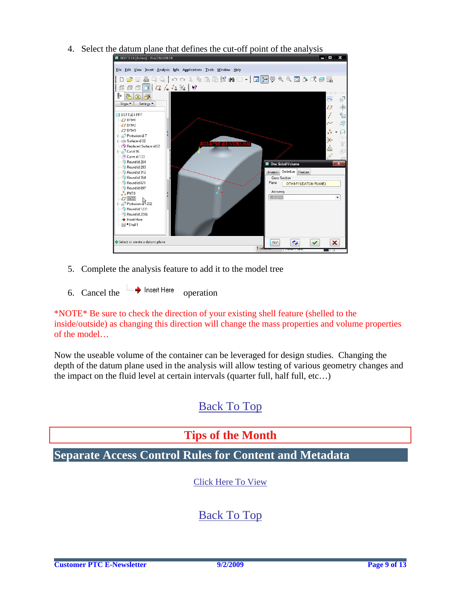- **TIO X** File Edit View Insert Analysis Info Applications Tools Window Help D S B & Q Q | 0 0 % & B & B & W : : · | 2 } ; & Q Q Q O + I 5 }  $\frac{1}{\sqrt{6}}$  a  $\frac{1}{\sqrt{6}}$ Ä.  $\epsilon$ Show v | Settings v  $\bar{\mathcal{Q}}$  $\phi_{\rm p}^{\rm b}$  $\frac{1}{\sim}$ BOTTLE4.PRT  $\mathbb{Z}$  $\overline{D}$  DTM1  $\beta$  $Z$  DTM2  $x^{\times}$ DTM3<br>2 Protrusion id 7  $\Box$ ¥× Surface id 32 Replaced Surface id 62  $\frac{\mathbf{x}^2}{\mathbf{b} \cdot \mathbf{b}}$  $\overline{\Phi}$ P Cut id 96 Curve id 133 Round id 264 **De Sided Volume**  $\overline{\mathbf{x}}$ Round id 283 Round id 312 Analysis Definition Feature Round id 354 Cross Section Round id 671 Plane DTM4:F16(DATUM PLANE) Round id 897 Accuracy  $x \neq PNT0$ 0.000010 ¥  $Z$  DTM4  $Z$  DTM  $\overline{a}$  Protrusion  $\overline{a}$  202 Round id 1231 Round id 2266 Insert Here  $\overline{m}$  Shell 1  $\blacktriangleright$  Select or create a datum plane  $80^{\circ}$  $\bullet$  $\checkmark$  $\mathbf x$  $\mathbf{1}$
- <span id="page-8-0"></span>4. Select the datum plane that defines the cut-off point of the analysis

- 5. Complete the analysis feature to add it to the model tree
- 6. Cancel the  $\rightarrow$  Insert Here operation

\*NOTE\* Be sure to check the direction of your existing shell feature (shelled to the inside/outside) as changing this direction will change the mass properties and volume properties of the model…

Now the useable volume of the container can be leveraged for design studies. Changing the depth of the datum plane used in the analysis will allow testing of various geometry changes and the impact on the fluid level at certain intervals (quarter full, half full, etc…)

## [Back To Top](#page-0-0)

## **Tips of the Month**

**Separate Access Control Rules for Content and Metadata** 

[Click Here To View](http://members.shaw.ca/jpeng/newsletter/PTC_Technical_Specialists_E-Newsletter_2009_09_enterprise.pdf)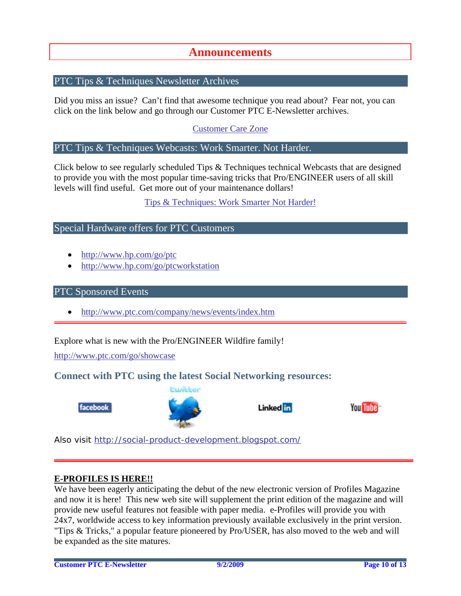### **Announcements**

### <span id="page-9-0"></span>PTC Tips & Techniques Newsletter Archives

Did you miss an issue? Can't find that awesome technique you read about? Fear not, you can click on the link below and go through our Customer PTC E-Newsletter archives.

[Customer Care Zone](http://www.ptc.com/carezone/)

### PTC Tips & Techniques Webcasts: Work Smarter. Not Harder.

Click below to see regularly scheduled Tips & Techniques technical Webcasts that are designed to provide you with the most popular time-saving tricks that Pro/ENGINEER users of all skill levels will find useful. Get more out of your maintenance dollars!

### [Tips & Techniques: Work Smarter Not Harder!](http://www.ptc.com/appserver/it/icm/cda/template_lib/events/series.jsp?&im_dbkey=11442&icg_dbkey=141)

### Special Hardware offers for PTC Customers

- <http://www.hp.com/go/ptc>
- <http://www.hp.com/go/ptcworkstation>

### PTC Sponsored Events

• http://www.ptc.com/company/news/events/index.htm

Explore what is new with the Pro/ENGINEER Wildfire family!

<http://www.ptc.com/go/showcase>

### **Connect with PTC using the latest Social Networking resources:**





Linked in



Also visit<http://social-product-development.blogspot.com/>

#### **E-PROFILES IS HERE!!**

We have been eagerly anticipating the debut of the new electronic version of Profiles Magazine and now it is here! This new web site will supplement the print edition of the magazine and will provide new useful features not feasible with paper media. e-Profiles will provide you with 24x7, worldwide access to key information previously available exclusively in the print version. "Tips & Tricks," a popular feature pioneered by Pro/USER, has also moved to the web and will be expanded as the site matures.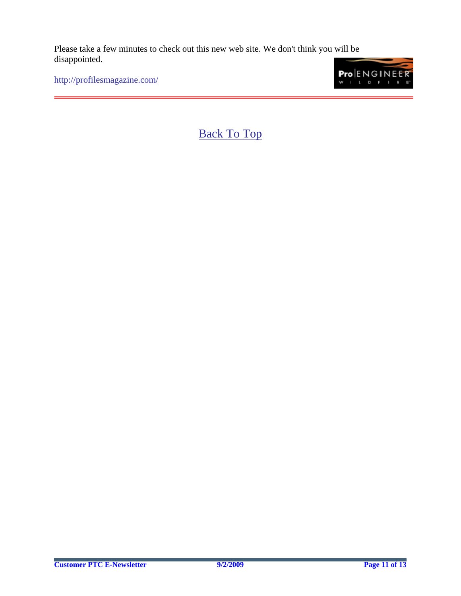Please take a few minutes to check out this new web site. We don't think you will be disappointed.

<http://profilesmagazine.com/>

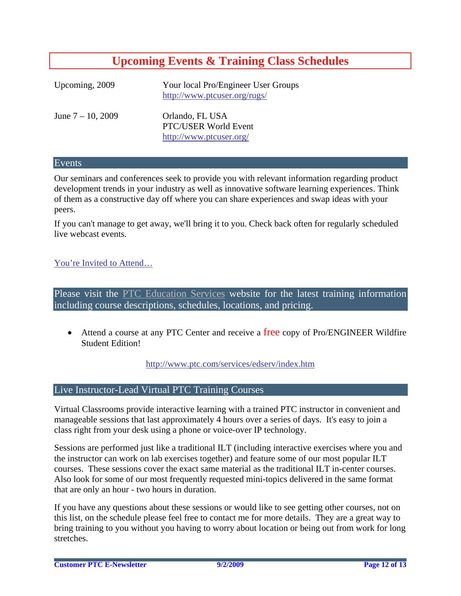# **Upcoming Events & Training Class Schedules**

<span id="page-11-0"></span>

| Upcoming, 2009       | Your local Pro/Engineer User Groups<br>http://www.ptcuser.org/rugs/ |
|----------------------|---------------------------------------------------------------------|
| June $7 - 10$ , 2009 | Orlando, FL USA<br>PTC/USER World Event<br>http://www.ptcuser.org/  |

### Events

Our seminars and conferences seek to provide you with relevant information regarding product development trends in your industry as well as innovative software learning experiences. Think of them as a constructive day off where you can share experiences and swap ideas with your peers.

If you can't manage to get away, we'll bring it to you. Check back often for regularly scheduled live webcast events.

### [You're Invited to Attend…](http://www.ptc.com/company/news/events/index.htm)

Please visit the [PTC Education Services](http://www.ptc.com/services/edserv/) website for the latest training information including course descriptions, schedules, locations, and pricing.

• Attend a course at any PTC Center and receive a free copy of Pro/ENGINEER Wildfire Student Edition!

<http://www.ptc.com/services/edserv/index.htm>

### Live Instructor-Lead Virtual PTC Training Courses

Virtual Classrooms provide interactive learning with a trained PTC instructor in convenient and manageable sessions that last approximately 4 hours over a series of days. It's easy to join a class right from your desk using a phone or voice-over IP technology.

Sessions are performed just like a traditional ILT (including interactive exercises where you and the instructor can work on lab exercises together) and feature some of our most popular ILT courses. These sessions cover the exact same material as the traditional ILT in-center courses. Also look for some of our most frequently requested mini-topics delivered in the same format that are only an hour - two hours in duration.

If you have any questions about these sessions or would like to see getting other courses, not on this list, on the schedule please feel free to contact me for more details. They are a great way to bring training to you without you having to worry about location or being out from work for long stretches.